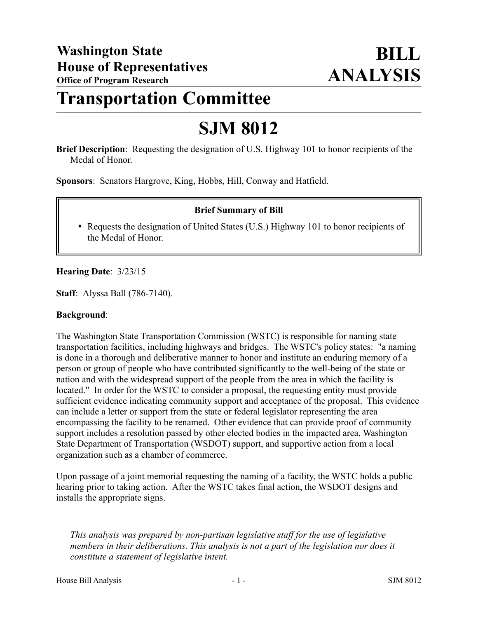# **Transportation Committee**

# **SJM 8012**

**Brief Description**: Requesting the designation of U.S. Highway 101 to honor recipients of the Medal of Honor.

**Sponsors**: Senators Hargrove, King, Hobbs, Hill, Conway and Hatfield.

### **Brief Summary of Bill**

• Requests the designation of United States (U.S.) Highway 101 to honor recipients of the Medal of Honor.

### **Hearing Date**: 3/23/15

**Staff**: Alyssa Ball (786-7140).

#### **Background**:

The Washington State Transportation Commission (WSTC) is responsible for naming state transportation facilities, including highways and bridges. The WSTC's policy states: "a naming is done in a thorough and deliberative manner to honor and institute an enduring memory of a person or group of people who have contributed significantly to the well-being of the state or nation and with the widespread support of the people from the area in which the facility is located." In order for the WSTC to consider a proposal, the requesting entity must provide sufficient evidence indicating community support and acceptance of the proposal. This evidence can include a letter or support from the state or federal legislator representing the area encompassing the facility to be renamed. Other evidence that can provide proof of community support includes a resolution passed by other elected bodies in the impacted area, Washington State Department of Transportation (WSDOT) support, and supportive action from a local organization such as a chamber of commerce.

Upon passage of a joint memorial requesting the naming of a facility, the WSTC holds a public hearing prior to taking action. After the WSTC takes final action, the WSDOT designs and installs the appropriate signs.

––––––––––––––––––––––

*This analysis was prepared by non-partisan legislative staff for the use of legislative members in their deliberations. This analysis is not a part of the legislation nor does it constitute a statement of legislative intent.*